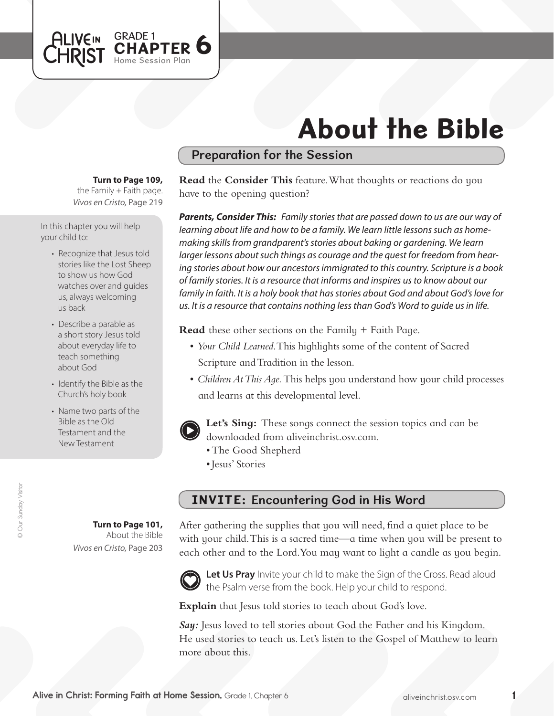

# About the Bible

## Preparation for the Session

#### **Turn to Page 109,**

*Vivos en Cristo,* Page 219 the Family  $+$  Faith page.

In this chapter you will help your child to:

- Recognize that Jesus told stories like the Lost Sheep to show us how God watches over and guides us, always welcoming us back
- Describe a parable as a short story Jesus told about everyday life to teach something about God
- Identify the Bible as the Church's holy book
- Name two parts of the Bible as the Old Testament and the New Testament

**Turn to Page 101,** About the Bible

*Vivos en Cristo,* Page 203

**Read** the **Consider This** feature. What thoughts or reactions do you have to the opening question?

*Parents, Consider This: Family stories that are passed down to us are our way of learning about life and how to be a family. We learn little lessons such as homemaking skills from grandparent's stories about baking or gardening. We learn larger lessons about such things as courage and the quest for freedom from hearing stories about how our ancestors immigrated to this country. Scripture is a book of family stories. It is a resource that informs and inspires us to know about our family in faith. It is a holy book that has stories about God and about God's love for us. It is a resource that contains nothing less than God's Word to guide us in life.*

**Read** these other sections on the Family + Faith Page.

- • *Your Child Learned*. This highlights some of the content of Sacred Scripture and Tradition in the lesson.
- *Children At This Aqe*. This helps you understand how your child processes and learns at this developmental level.



**Let's Sing:** These songs connect the session topics and can be downloaded from aliveinchrist.osv.com.

- The Good Shepherd
- • Jesus' Stories

## INVITE: Encountering God in His Word

After gathering the supplies that you will need, find a quiet place to be with your child. This is a sacred time—a time when you will be present to each other and to the Lord. You may want to light a candle as you begin.



Let Us Pray Invite your child to make the Sign of the Cross. Read aloud the Psalm verse from the book. Help your child to respond.

**Explain** that Jesus told stories to teach about God's love.

*Say:* Jesus loved to tell stories about God the Father and his Kingdom. He used stories to teach us. Let's listen to the Gospel of Matthew to learn more about this.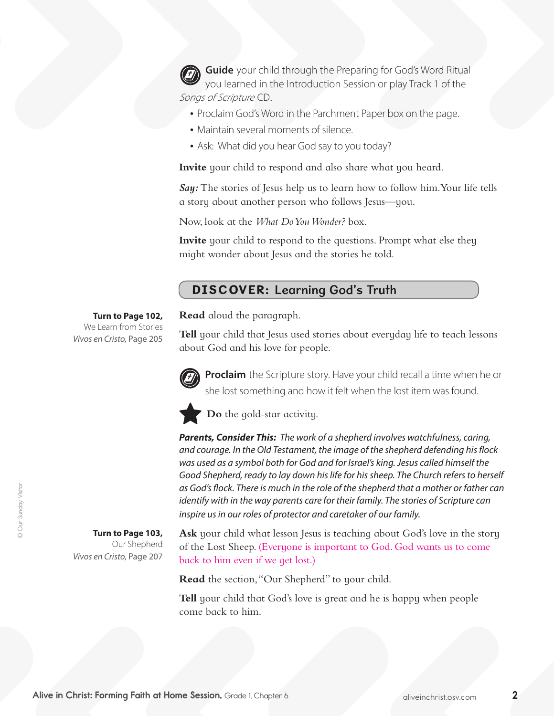**Guide** your child through the Preparing for God's Word Ritual you learned in the Introduction Session or play Track 1 of the Songs of Scripture CD.

- Proclaim God's Word in the Parchment Paper box on the page.
- Maintain several moments of silence.
- Ask: What did you hear God say to you today?

**Invite** your child to respond and also share what you heard.

*Say:* The stories of Jesus help us to learn how to follow him.Your life tells a story about another person who follows Jesus—you.

Now, look at the *What Do You Wonder?* box.

**Invite** your child to respond to the questions. Prompt what else they might wonder about Jesus and the stories he told.

#### DISCOVER: Learning God's Truth

**Read** aloud the paragraph.

**Tell** your child that Jesus used stories about everyday life to teach lessons about God and his love for people.



**Proclaim** the Scripture story. Have your child recall a time when he or she lost something and how it felt when the lost item was found.



**Do** the gold-star activity.

*Parents, Consider This: The work of a shepherd involves watchfulness, caring, and courage. In the Old Testament, the image of the shepherd defending his flock was used as a symbol both for God and for Israel's king. Jesus called himself the Good Shepherd, ready to lay down his life for his sheep. The Church refers to herself as God's flock. There is much in the role of the shepherd that a mother or father can identify with in the way parents care for their family. The stories of Scripture can inspire us in our roles of protector and caretaker of our family.*

Ask your child what lesson Jesus is teaching about God's love in the story of the Lost Sheep. (Everyone is important to God. God wants us to come back to him even if we get lost.)

**Read** the section, "Our Shepherd" to your child.

**Tell** your child that God's love is great and he is happy when people come back to him.

**Turn to Page 102,** We Learn from Stories *Vivos en Cristo,* Page 205

> **Turn to Page 103,**  Our Shepherd

*Vivos en Cristo,* Page 207

© Our Sunday Visitor

© Our Sunday Visitor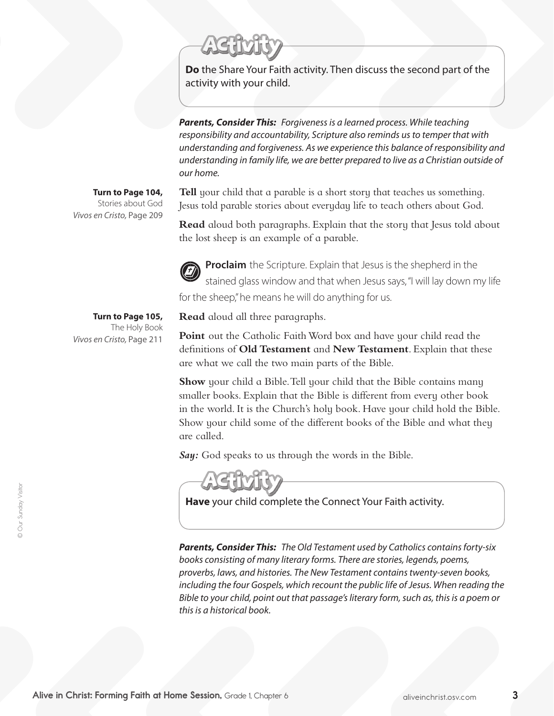**Do** the Share Your Faith activity. Then discuss the second part of the activity with your child.

*Parents, Consider This: Forgiveness is a learned process. While teaching responsibility and accountability, Scripture also reminds us to temper that with understanding and forgiveness. As we experience this balance of responsibility and understanding in family life, we are better prepared to live as a Christian outside of our home.*

#### **Turn to Page 104,**

Stories about God *Vivos en Cristo,* Page 209

**Tell** your child that a parable is a short story that teaches us something. Jesus told parable stories about everyday life to teach others about God.

**Read** aloud both paragraphs. Explain that the story that Jesus told about the lost sheep is an example of a parable.



**Proclaim** the Scripture. Explain that Jesus is the shepherd in the stained glass window and that when Jesus says,"I will lay down my life for the sheep," he means he will do anything for us.

**Turn to Page 105,** The Holy Book *Vivos en Cristo,* Page 211

**Read** aloud all three paragraphs.

**Point** out the Catholic Faith Word box and have your child read the definitions of **Old Testament** and **New Testament**. Explain that these are what we call the two main parts of the Bible.

**Show** your child a Bible. Tell your child that the Bible contains many smaller books. Explain that the Bible is different from every other book in the world. It is the Church's holy book. Have your child hold the Bible. Show your child some of the different books of the Bible and what they are called.

*Say:* God speaks to us through the words in the Bible.



**Have** your child complete the Connect Your Faith activity.

*Parents, Consider This: The Old Testament used by Catholics contains forty-six books consisting of many literary forms. There are stories, legends, poems, proverbs, laws, and histories. The New Testament contains twenty-seven books, including the four Gospels, which recount the public life of Jesus. When reading the Bible to your child, point out that passage's literary form, such as, this is a poem or this is a historical book.*